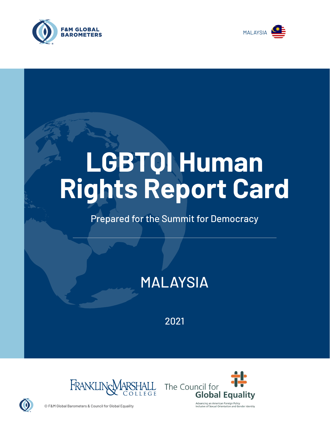



# **LGBTQI Human Rights Report Card**

## Prepared for the Summit for Democracy

# MALAYSIA

2021





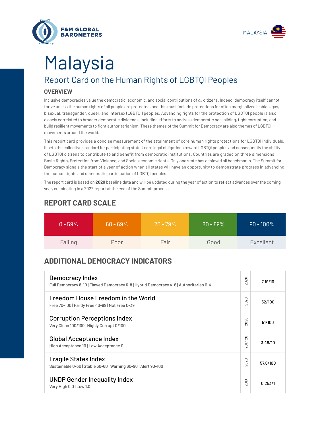



# Report Card on the Human Rights of LGBTQI Peoples Malaysia

#### **OVERVIEW**

Inclusive democracies value the democratic, economic, and social contributions of *all* citizens. Indeed, democracy itself cannot thrive unless the human rights of all people are protected, and this must include protections for often marginalized lesbian, gay, bisexual, transgender, queer, and intersex (LGBTQI) peoples. Advancing rights for the protection of LGBTQI people is also closely correlated to broader democratic dividends, including efforts to address democratic backsliding, fight corruption, and build resilient movements to fight authoritarianism. These themes of the Summit for Democracy are also themes of LGBTQI movements around the world.

This report card provides a concise measurement of the attainment of core human rights protections for LGBTQI individuals. It sets the collective standard for participating states' core legal obligations toward LGBTQI peoples and consequently the ability of LGBTQI citizens to contribute to and benefit from democratic institutions. Countries are graded on three dimensions: Basic Rights, Protection from Violence, and Socio-economic rights. Only one state has achieved all benchmarks. The Summit for Democracy signals the start of a year of action when all states will have an opportunity to demonstrate progress in advancing the human rights and democratic participation of LGBTQI peoples.

The report card is based on **2020** baseline data and will be updated during the year of action to reflect advances over the coming year, culminating in a 2022 report at the end of the Summit process.

| $0 - 59\%$ | $60 - 69\%$ | $70 - 79\%$ | $80 - 89%$ | $90 - 100\%$ |
|------------|-------------|-------------|------------|--------------|
| Failing    | Poor        | Fair        | Good       | Excellent    |

### **REPORT CARD SCALE**

### **ADDITIONAL DEMOCRACY INDICATORS**

| Democracy Index<br>Full Democracy 8-10   Flawed Democracy 6-8   Hybrid Democracy 4-6   Authoritarian 0-4 | 2020                | 7.19/10  |
|----------------------------------------------------------------------------------------------------------|---------------------|----------|
| Freedom House Freedom in the World<br>Free 70-100   Partly Free 40-69   Not Free 0-39                    | 2020                | 52/100   |
| <b>Corruption Perceptions Index</b><br>Very Clean 100/100   Highly Corrupt 0/100                         | 020<br>$\bar{\sim}$ | 51/100   |
| <b>Global Acceptance Index</b><br>High Acceptance 10   Low Acceptance 0                                  | 2017-20             | 3.48/10  |
| <b>Fragile States Index</b><br>Sustainable 0-30   Stable 30-60   Warning 60-90   Alert 90-100            | 020<br>$\sim$       | 57.6/100 |
| <b>UNDP Gender Inequality Index</b><br>Very High 0.0   Low 1.0                                           | 2019                | 0.253/1  |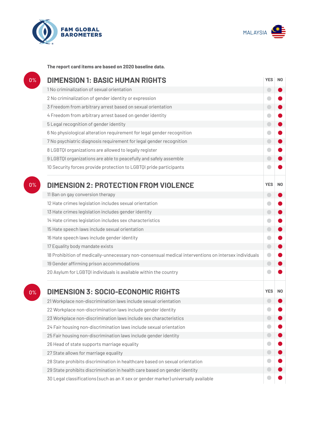



**The report card items are based on 2020 baseline data.**

| 0%    | <b>DIMENSION 1: BASIC HUMAN RIGHTS</b>                                                               | <b>YES</b>               | N <sub>0</sub> |
|-------|------------------------------------------------------------------------------------------------------|--------------------------|----------------|
|       | 1 No criminalization of sexual orientation                                                           | $\overline{\phantom{0}}$ |                |
|       | 2 No criminalization of gender identity or expression                                                |                          |                |
|       | 3 Freedom from arbitrary arrest based on sexual orientation                                          | $\bigcirc$               |                |
|       | 4 Freedom from arbitrary arrest based on gender identity                                             |                          |                |
|       | 5 Legal recognition of gender identity                                                               | $\bigcirc$               |                |
|       | 6 No physiological alteration requirement for legal gender recognition                               | $\blacksquare$           |                |
|       | 7 No psychiatric diagnosis requirement for legal gender recognition                                  | $\Box$                   |                |
|       | 8 LGBTQI organizations are allowed to legally register                                               | 0                        |                |
|       | 9 LGBTQI organizations are able to peacefully and safely assemble                                    | $\bigcirc$               |                |
|       | 10 Security forces provide protection to LGBTQI pride participants                                   |                          |                |
| 0%    | <b>DIMENSION 2: PROTECTION FROM VIOLENCE</b>                                                         | <b>YES</b>               | N <sub>0</sub> |
|       | 11 Ban on gay conversion therapy                                                                     | $\overline{\phantom{0}}$ |                |
|       | 12 Hate crimes legislation includes sexual orientation                                               |                          |                |
|       | 13 Hate crimes legislation includes gender identity                                                  | $\bigcirc$               |                |
|       | 14 Hate crimes legislation includes sex characteristics                                              | 0                        |                |
|       | 15 Hate speech laws include sexual orientation                                                       | $\bigcirc$               |                |
|       | 16 Hate speech laws include gender identity                                                          | O                        |                |
|       | 17 Equality body mandate exists                                                                      | $\bigcirc$               |                |
|       | 18 Prohibition of medically-unnecessary non-consensual medical interventions on intersex individuals | $\bullet$                |                |
|       | 19 Gender affirming prison accommodations                                                            | $\bigcirc$               |                |
|       | 20 Asylum for LGBTQI individuals is available within the country                                     |                          |                |
| $0\%$ | <b>DIMENSION 3: SOCIO-ECONOMIC RIGHTS</b>                                                            | <b>YES</b>               | N <sub>0</sub> |
|       | 21 Workplace non-discrimination laws include sexual orientation                                      |                          |                |
|       | 22 Workplace non-discrimination laws include gender identity                                         |                          |                |
|       | 23 Workplace non-discrimination laws include sex characteristics                                     |                          |                |
|       | 24 Fair housing non-discrimination laws include sexual orientation                                   |                          |                |
|       | 25 Fair housing non-discrimination laws include gender identity                                      |                          |                |
|       | 26 Head of state supports marriage equality                                                          |                          |                |
|       | 27 State allows for marriage equality                                                                | 0                        |                |
|       | 28 State prohibits discrimination in healthcare based on sexual orientation                          |                          |                |
|       | 29 State prohibits discrimination in health care based on gender identity                            |                          |                |
|       | 30 Legal classifications (such as an X sex or gender marker) universally available                   |                          |                |